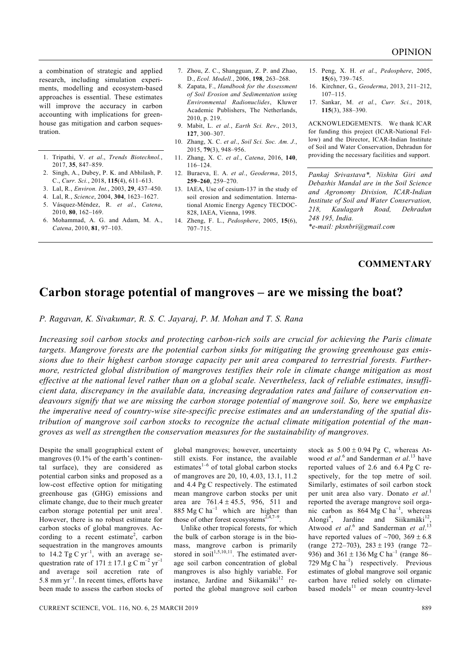a combination of strategic and applied research, including simulation experiments, modelling and ecosystem-based approaches is essential. These estimates will improve the accuracy in carbon accounting with implications for greenhouse gas mitigation and carbon sequestration.

- 1. Tripathi, V. *et al*., *Trends Biotechnol.*, 2017, **35**, 847–859.
- 2. Singh, A., Dubey, P. K. and Abhilash, P. C., *Curr. Sci.*, 2018, **115**(4), 611–613.
- 3. Lal, R., *Environ. Int.*, 2003, **29**, 437–450.
- 4. Lal, R., *Science*, 2004, **304**, 1623–1627.
- 5. Vásquez-Méndez, R. *et al.*, *Catena*, 2010, **80**, 162–169.
- 6. Mohammad, A. G. and Adam, M. A., *Catena*, 2010, **81**, 97–103.
- 7. Zhou, Z. C., Shangguan, Z. P. and Zhao, D., *Ecol. Modell.*, 2006, **198**, 263–268.
- 8. Zapata, F., *Handbook for the Assessment of Soil Erosion and Sedimentation using Environmental Radionuclides*, Kluwer Academic Publishers, The Netherlands, 2010, p. 219.
- 9. Mabit, L. *et al.*, *Earth Sci. Rev*., 2013, **127**, 300–307.
- 10. Zhang, X. C. *et al*., *Soil Sci. Soc. Am. J.*, 2015, **79**(3), 948–956.
- 11. Zhang, X. C. *et al.*, *Catena*, 2016, **140**, 116–124.
- 12. Buraeva, E. A. *et al.*, *Geoderma*, 2015, **259–260**, 259–270.
- 13. IAEA, Use of cesium-137 in the study of soil erosion and sedimentation. International Atomic Energy Agency TECDOC-828, IAEA, Vienna, 1998.
- 14. Zheng, F. L., *Pedosphere*, 2005, **15**(6), 707–715.
- 15. Peng, X. H. *et al.*, *Pedosphere*, 2005, **15**(6), 739–745.
- 16. Kirchner, G., *Geoderma*, 2013, 211–212, 107–115.
- 17. Sankar, M. *et al.*, *Curr. Sci.*, 2018, **115**(3), 388–390.

ACKNOWLEDGEMENTS. We thank ICAR for funding this project (ICAR-National Fellow) and the Director, ICAR-Indian Institute of Soil and Water Conservation, Dehradun for providing the necessary facilities and support.

*Pankaj Srivastava\*, Nishita Giri and Debashis Mandal are in the Soil Science and Agronomy Division, ICAR-Indian Institute of Soil and Water Conservation, 218, Kaulagarh Road, Dehradun 248 195, India. \*e-mail: pksnbri@gmail.com* 

## **COMMENTARY**

## **Carbon storage potential of mangroves – are we missing the boat?**

*P. Ragavan, K. Sivakumar, R. S. C. Jayaraj, P. M. Mohan and T. S. Rana* 

*Increasing soil carbon stocks and protecting carbon-rich soils are crucial for achieving the Paris climate targets. Mangrove forests are the potential carbon sinks for mitigating the growing greenhouse gas emissions due to their highest carbon storage capacity per unit area compared to terrestrial forests. Furthermore, restricted global distribution of mangroves testifies their role in climate change mitigation as most effective at the national level rather than on a global scale. Nevertheless, lack of reliable estimates, insufficient data, discrepancy in the available data, increasing degradation rates and failure of conservation endeavours signify that we are missing the carbon storage potential of mangrove soil. So, here we emphasize the imperative need of country-wise site-specific precise estimates and an understanding of the spatial distribution of mangrove soil carbon stocks to recognize the actual climate mitigation potential of the mangroves as well as strengthen the conservation measures for the sustainability of mangroves.* 

Despite the small geographical extent of mangroves (0.1% of the earth's continental surface), they are considered as potential carbon sinks and proposed as a low-cost effective option for mitigating greenhouse gas (GHG) emissions and climate change, due to their much greater carbon storage potential per unit area<sup>1</sup>. However, there is no robust estimate for carbon stocks of global mangroves. According to a recent estimate<sup>2</sup>, carbon sequestration in the mangroves amounts to 14.2 Tg C  $yr^{-1}$ , with an average sequestration rate of  $171 \pm 17.1$  g C m<sup>-2</sup> yr<sup>-1</sup> and average soil accretion rate of 5.8 mm  $yr^{-1}$ . In recent times, efforts have been made to assess the carbon stocks of global mangroves; however, uncertainty still exists. For instance, the available estimates $1-6$  of total global carbon stocks of mangroves are 20, 10, 4.03, 13.1, 11.2 and 4.4 Pg C respectively. The estimated mean mangrove carbon stocks per unit area are  $761.4 \pm 45.5$ , 956, 511 and 885 Mg C  $ha^{-1}$  which are higher than those of other forest ecosystems<sup>2,4,7–9</sup>

 Unlike other tropical forests, for which the bulk of carbon storage is in the biomass, mangrove carbon is primarily stored in soil<sup>1,5,10,11</sup>. The estimated average soil carbon concentration of global mangroves is also highly variable. For instance, Jardine and Siikamäki<sup>12</sup> reported the global mangrove soil carbon

stock as  $5.00 \pm 0.94$  Pg C, whereas Atwood *et al*. 6 and Sanderman *et al*. 13 have reported values of 2.6 and 6.4 Pg C respectively, for the top metre of soil. Similarly, estimates of soil carbon stock per unit area also vary. Donato *et al*. 1 reported the average mangrove soil organic carbon as  $864 \text{ Mg C ha}^{-1}$ , whereas Alongi<sup>4</sup>, Jardine and Siikamäki<sup>12</sup>, Atwood *et al.*<sup>6</sup> and Sanderman *et al.*<sup>13</sup> have reported values of  $\sim$ 700, 369  $\pm$  6.8 (range 272–703),  $283 \pm 193$  (range 72– 936) and  $361 \pm 136$  Mg C ha<sup>-1</sup> (range 86– 729 Mg C  $ha^{-1}$ ) respectively. Previous estimates of global mangrove soil organic carbon have relied solely on climatebased models $^{11}$  or mean country-level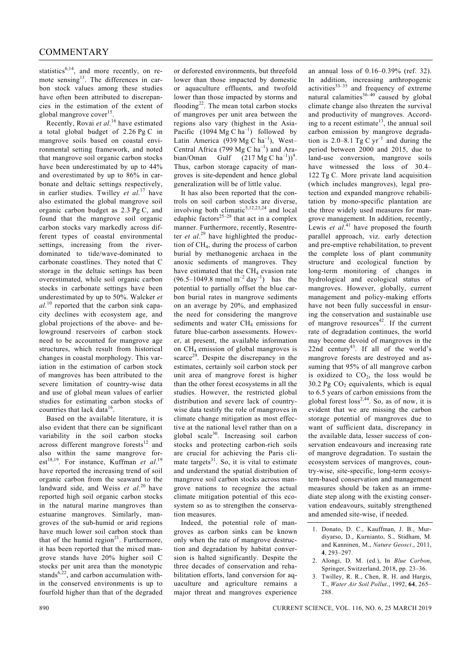statistics<sup>6,14</sup>, and more recently, on remote sensing<sup>13</sup>. The differences in carbon stock values among these studies have often been attributed to discrepancies in the estimation of the extent of global mangrove cover<sup>15</sup>.

 Recently, Rovai *et al*. 16 have estimated a total global budget of 2.26 Pg C in mangrove soils based on coastal environmental setting framework, and noted that mangrove soil organic carbon stocks have been underestimated by up to 44% and overestimated by up to 86% in carbonate and deltaic settings respectively, in earlier studies. Twilley *et al*. 17 have also estimated the global mangrove soil organic carbon budget as 2.3 Pg C, and found that the mangrove soil organic carbon stocks vary markedly across different types of coastal environmental settings, increasing from the riverdominated to tide/wave-dominated to carbonate coastlines. They noted that C storage in the deltaic settings has been overestimated, while soil organic carbon stocks in carbonate settings have been underestimated by up to 50%. Walcker *et al*. 10 reported that the carbon sink capacity declines with ecosystem age, and global projections of the above- and belowground reservoirs of carbon stock need to be accounted for mangrove age structures, which result from historical changes in coastal morphology. This variation in the estimation of carbon stock of mangroves has been attributed to the severe limitation of country-wise data and use of global mean values of earlier studies for estimating carbon stocks of countries that lack data<sup>16</sup>

 Based on the available literature, it is also evident that there can be significant variability in the soil carbon stocks across different mangrove forests $12$  and also within the same mangrove forest<sup>18,19</sup>. For instance, Kuffman *et al.*<sup>19</sup> have reported the increasing trend of soil organic carbon from the seaward to the landward side, and Weiss *et al*. 20 have reported high soil organic carbon stocks in the natural marine mangroves than estuarine mangroves. Similarly, mangroves of the sub-humid or arid regions have much lower soil carbon stock than that of the humid region $^{21}$ . Furthermore, it has been reported that the mixed mangrove stands have 20% higher soil C stocks per unit area than the monotypic stands<sup>6,22</sup>, and carbon accumulation within the conserved environments is up to fourfold higher than that of the degraded

or deforested environments, but threefold lower than those impacted by domestic or aquaculture effluents, and twofold lower than those impacted by storms and flooding<sup>22</sup>. The mean total carbon stocks of mangroves per unit area between the regions also vary (highest in the Asia-Pacific  $(1094 \text{ Mg C ha}^{-1})$  followed by Latin America (939 Mg C ha<sup>-1</sup>), West-Central Africa (799 Mg C  $ha^{-1}$ ) and Arabian/Oman Gulf  $(217 \text{ Mg C ha}^{-1}))^9$ . Thus, carbon storage capacity of mangroves is site-dependent and hence global generalization will be of little value.

 It has also been reported that the controls on soil carbon stocks are diverse, involving both climatic<sup>5,12,23,24</sup> and local edaphic factors<sup>25-28</sup> that act in a complex manner. Furthermore, recently, Rosentreter *et al*. 29 have highlighted the production of CH4, during the process of carbon burial by methanogenic archaea in the anoxic sediments of mangroves. They have estimated that the  $CH<sub>4</sub>$  evasion rate  $(96.5-1049.8 \text{ mmol m}^{-2} \text{ day}^{-1})$  has the potential to partially offset the blue carbon burial rates in mangrove sediments on an average by 20%, and emphasized the need for considering the mangrove sediments and water CH<sub>4</sub> emissions for future blue-carbon assessments. However, at present, the available information on CH4 emission of global mangroves is scarce<sup>29</sup>. Despite the discrepancy in the estimates, certainly soil carbon stock per unit area of mangrove forest is higher than the other forest ecosystems in all the studies. However, the restricted global distribution and severe lack of countrywise data testify the role of mangroves in climate change mitigation as most effective at the national level rather than on a global scale30. Increasing soil carbon stocks and protecting carbon-rich soils are crucial for achieving the Paris climate targets $31$ . So, it is vital to estimate and understand the spatial distribution of mangrove soil carbon stocks across mangrove nations to recognize the actual climate mitigation potential of this ecosystem so as to strengthen the conservation measures.

 Indeed, the potential role of mangroves as carbon sinks can be known only when the rate of mangrove destruction and degradation by habitat conversion is halted significantly. Despite the three decades of conservation and rehabilitation efforts, land conversion for aquaculture and agriculture remains a major threat and mangroves experience

an annual loss of 0.16–0.39% (ref. 32). In addition, increasing anthropogenic activities $33-35$  and frequency of extreme natural calamities $36-40$  caused by global climate change also threaten the survival and productivity of mangroves. According to a recent estimate<sup>13</sup>, the annual soil carbon emission by mangrove degradation is 2.0–8.1 Tg C  $yr^{-1}$  and during the period between 2000 and 2015, due to land-use conversion, mangrove soils have witnessed the loss of 30.4– 122 Tg C. More private land acquisition (which includes mangroves), legal protection and expanded mangrove rehabilitation by mono-specific plantation are the three widely used measures for mangrove management. In addition, recently, Lewis *et al.*<sup>41</sup> have proposed the fourth parallel approach, viz. early detection and pre-emptive rehabilitation, to prevent the complete loss of plant community structure and ecological function by long-term monitoring of changes in hydrological and ecological status of mangroves. However, globally, current management and policy-making efforts have not been fully successful in ensuring the conservation and sustainable use of mangrove resources<sup>42</sup>. If the current rate of degradation continues, the world may become devoid of mangroves in the 22nd century<sup>43</sup>. If all of the world's mangrove forests are destroyed and assuming that 95% of all mangrove carbon is oxidized to  $CO<sub>2</sub>$ , the loss would be 30.2 Pg  $CO<sub>2</sub>$  equivalents, which is equal to 6.5 years of carbon emissions from the global forest  $loss^{2,44}$ . So, as of now, it is evident that we are missing the carbon storage potential of mangroves due to want of sufficient data, discrepancy in the available data, lesser success of conservation endeavours and increasing rate of mangrove degradation. To sustain the ecosystem services of mangroves, country-wise, site-specific, long-term ecosystem-based conservation and management measures should be taken as an immediate step along with the existing conservation endeavours, suitably strengthened and amended site-wise, if needed.

- 2. Alongi, D. M. (ed.), In *Blue Carbon*, Springer, Switzerland, 2018, pp. 23–36.
- Twilley, R. R., Chen, R. H. and Hargis, T., *Water Air Soil Pollut*., 1992, **64**, 265– 288.

<sup>1.</sup> Donato, D. C., Kauffman, J. B., Murdiyarso, D., Kurnianto, S., Stidham, M. and Kanninen, M., *Nature Geosci*., 2011, **4**, 293–297.